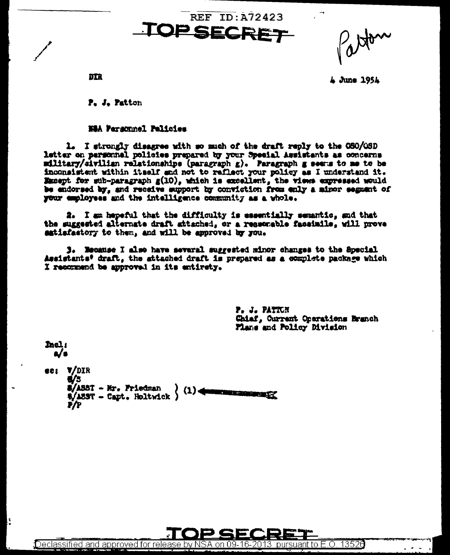**SECRET** 

L June 1954

**DTR** 

hel: a/s

Ŀ

P. J. Patton

#### **NEA Parsonnel Palisies**

1. I strongly disagree with so much of the draft reply to the OSO/OSD letter on personnel policies prepared by your Special Assistants as concerns military/eivilian relationships (paragraph g). Paragraph g seems to me to be inconsistent within itself and not to raflect your policy as I understand it. Except for sub-paragraph  $g(10)$ , which is excellent, the views expressed would be endorsed by, and receive support by conviction from enly a minor segment of your employees and the intelligence community as a whole.

2. I am hepeful that the difficulty is essentially semantic, and that the suggested alternate draft attached, or a reasonable faceinile, will prove satisfactory to them, and will be approved by you.

3. Hecause I also have several suggested minor changes to the Special Assistants' draft, the attached draft is prepared as a complete package which I recommend be approved in its entirety.

> P. J. PATTCH Chiaf, Current Oparations Branch Flans and Policy Division

ec: V/DIR **6/3** S/ASST - Mr. Friedman  $(1)$ <u> Manazarta (j. 1878)</u>  $\frac{1}{2}$  /1597 - Capt. Holtwick ) **F/P**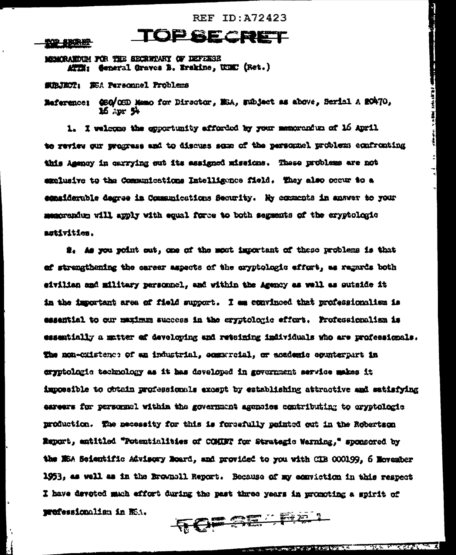#### **生命 新聞部**

MOMERATION FOR THE SECRETARY OF DEFENSE ATTI: General Graves B. Erskine, UGEC (Ret.)

**SUBJECT: SEA Personnel Problems** 

Maference: @SO/CSD Mamo for Director, MSA, subject as above, Serial A 20470, 16 apr 94

TOPSECRET

1. I welcome the exportunity afforded by your memorardum of 16 April to review our progress and to discuss some of the personnel problems confronting this Assnoy in carrying out its assigned missions. These problems are not exclusive to the Communications Intelligence field. They also occur to a emaiderable degree in Communications Security. Hy connents in answer to your memorandum will apply with equal force to both segments of the eryptologic astivities.

2. As you point out, one of the most important of these problems is that of strengthening the career aspects of the cryptologic effort, we regards both eivilian and military personnel, and within the Agency as well as sutside it in the important area of field support. I am convinced that professionalism is essential to our maximum success in the eryptologic effort. Professionalism is essentially a matter of devoloping and retaining individuals who are professionals. The non-cxistence of an industrial, commercial, or ecademic counterpart in cryptolagie technology as it has developed in government service makes it impossible to obtain professionals except by establishing attractive and satisfying eareers for personnel within the government agencies contributing to eryptologie production. The necessity for this is forgafully painted out in the Robertson Emport, entitled "Potentialities of COMMT for Strategic Warning," sponsored by the NSA Seientific Advisory Noard, and provided to you with CIB 000199, 6 November 1953, as well as in the Brownell Report. Because of my econiction in this respect I have devoted much effort during the past three years in promoting a spirit of **TOP ABARAL** professionalism in NSA.

**Started Vinder Mahaling**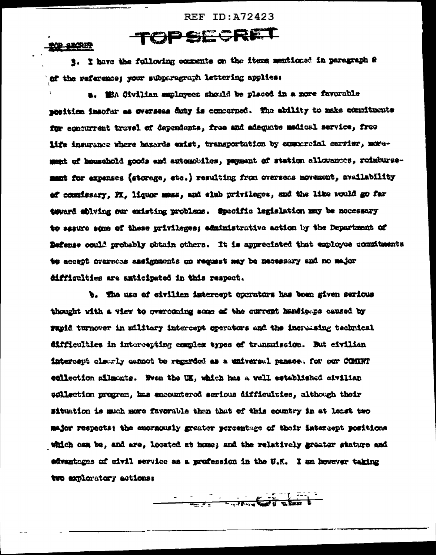#### **NOR SECRET**

3. I have the following comments on the items mentioned in paragraph 2 of the reference; your subparagraph lettering applies:

TOPSECRET

a. Wie Civilian employees should be placed in a nore favorable mesition imsofar as overseas duty is equeerned. The ability to make econfinents for ecocurrent travel of dependents, free and adequate medical service, free life insurance where hazards enist, transportation by comporcial carrier, nowement of household goods and automobiles, payment of station allowances, reimbursement for expenses (storege, etc.) resulting from overseas movement, availability of commissary, FX, liquor mess, and club privileges, and the like would go far teward solving our existing problems. Specific legislation may be necessary to essure seme of these privileges; administrative action by the Department of Defense could probably obtain others. It is appreciated that exployee commitments te accept overseas assignments on request may be necessary and no major difficulties are anticipated in this respect.

b. The use of eivilian intercept operators has been given serious thought with a view to grancoming some of the current handigaps caused by rapid turnover in military intercept sperators and the increasing technical difficulties in intercepting complex types of transmission. But civilian intercept clourly cannot be regarded as a universal panace. for our COMINT collection ailmonts. Even the UK, which has a well established civilian sollection program, has encountered serious difficulties, although their situation is much more favorable than that of this country in at least two major respects; the emormously greater percentage of their intercept positions which can be, and are, located at home; and the relatively greater stature and advantages of civil service as a profession in the U.K. I am however taking two exploratory actions: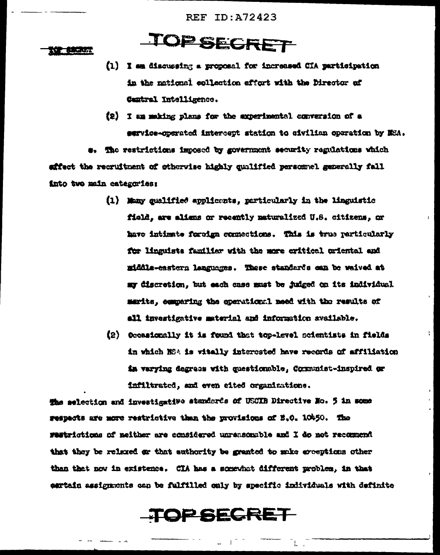TOPSECRET

#### **TOP BURET**

- (1) I am discussing a proposal for increased CIA participation in the national collection effort with the Director of Central Intelligence.
- (2) I am making plans for the axperimental conversion of a service-operated intercept station to civilian operation by NSA.

The restrictions imposed by government security regulations which effect the recruitment of otherwise highly qualified personnel generally fall into two main categories:

- (1) Many qualified applicants, particularly in the linguistic field, are aliens or recently naturalized U.S. citizens, or have intimate foreign connections. This is true particularly for linguists familiar with the more critical criental and middle-eastern languages. These standards can be waived at my discretion, but each case must be judged on its individual marits, comparing the operational meed with the results of all investigative material and information available.
- (2) Occasionally it is found that top-level scientists in fields in which NSA is witally interested have records of affiliation in verying degrees with questionable, Communist-inspired or inflitrated, and even eited organizations.

÷.

The selection and investigative standards of USCIB Directive No. 5 in some respects are more restrictive than the provisions of E.O. 10450. The restrictions of neither are considered unreasonable and I do not recomment that they be relexed or that authority be granted to make exceptions other than that now in existence. CIA has a somewhat different problem, in that eartain assignments can be fulfilled only by specific individuals with definite

### TOPSECRET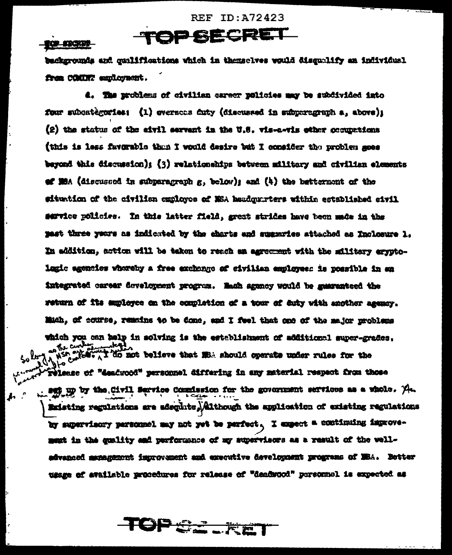#### IQP SIXCHER

backgrounds and qualifications which in themselves would disqualify an individual frem COMINT employment.

TOP SECRET

4. The problems of civilian career policies may be subdivided into four subcategories: (1) evernons futy (discussed in subperegraph a, above); (2) the status of the eivil servent in the U.S. vis-a-vis other occupations (this is less favorable than I would desire but I consider the problem goes beyond this discussion); (3) relationships between military and civilian elements of MSA (discussed in subparagraph  $g$ , below); and  $(4)$  the bettermont of the situation of the civilism employes of NSA haudgurters within established sivil service policies. In this latter field, great strides have been made in the past three years as indicated by the charts and suggeries attached as Inclosure 1. In addition, action will be taken to reach an agreement with the military aryptolagic agencies whoreby a free exchange of civilian employees is possible in en integrated career development program. Mach agoncy would be guaranteed the return of its supleyee on the completion of a tour of duty with another agency. Mich, of course, remains to be done, and I feel that one of the major problems which you can help in solving is the establishment of additional super-grades.  $v^{\frac{1}{2}}$ where  $\Lambda$  is not believe that  $\mathbf{H}$  should operate under rules for the release of "deadwood" personnel differing in any material respect from those . set up by the Civil Service Commission for the government services as a whole.  $\mathcal{A}_{\mathbf{t}}$ Existing regulations are adequate, Although the application of existing regulations by supervisory personnel may not yet be perfect. I expect a continuing improvement in the quality and performance of my supervisors as a result of the welladvanced asmanament improvement and executive development programs of MSA. Better ussee of evailable procedures for release of "deadwood" personnel is expected as

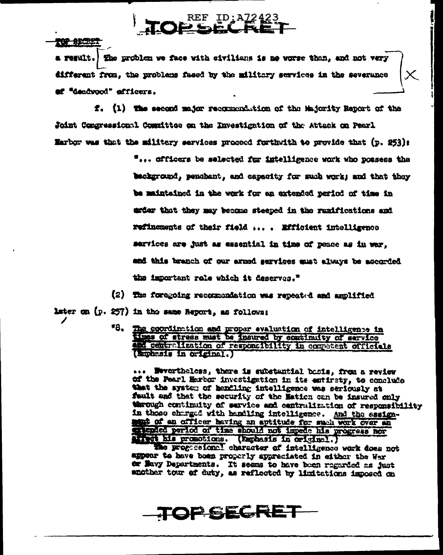TOP SPORT

a result. En problem we face with civilians is no worse than, and not very different from, the problems faced by the military services in the severance af "desdynod" afficers.

f. (1) The second major recommendation of the Majority Report of the Joint Congressional Committee on the Investigation of the Attack on Pearl Marbor was that the military services procoed furthwith to provide that (p. 253):

> "... officers be selected for intelligence work who possess the background, penchant, and capacity for such work; and that they be maintained in the work for an oxtended period of time in exter that they may become steeped in the ranifications and refinements of their field .... Efficient intelligence services are just as essential in time of peace as in war, and this branch of our armed services must always be accorded the important role which it deserves."

(2) The foregoing recommendation was repeated and amplified

later on (p. 257) in the same Report, as follows:

"8. The coordination and proper evaluation of intelligence in and contralization of responsibility in competent officials (Buchasis in original.)

... Wevertheless, there is substantial basis, frem a review of the Pearl Harbor investigation in its entiraty, to conclude that the system of hendling intelligence was seriously at fault and that the security of the Maticn can be insured only through continuity of service and centralization of responsibility in those charged with hemiling intelligence. And the essignment of an officer having an aptitude for such work over an extended period of time should not impede his progress nor tivet his promotions. (Emphasis in original.)

the progessional character of intelligence work does not appear to have boen properly appreciated in either the Wer er Mayy Departments. It seems to have been regarded as just another tour of duty, as reflected by limitations imposed on

### **TOP SECRET**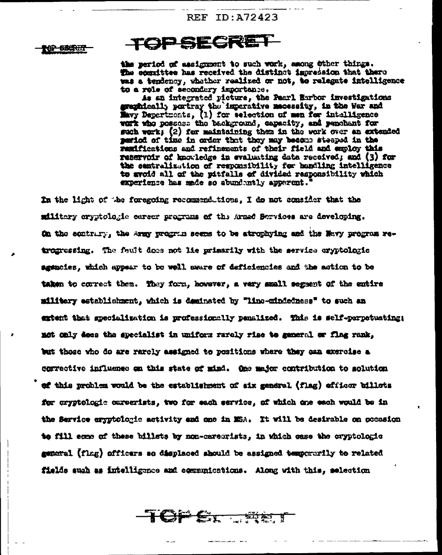102 BECRET

### **TOPSECRET**

the period of assignment to such work, among other things. The committee has received the distinct impression that there was a tendency, whather realized or not, to relegate intelligence to a role of secondary importance.

As an integrated picture, the Pearl Earbor investigations graphically pertray the imperative meessity, in the War and Havy Depertments, (1) for selection of men for intelligence wark who possess the background, capacity, and penchant for such work; (2) for maintaining them in the work over an extended period of time in order that they may become steeped in the remifications and refinements of their field and employ this reservoir of knowledge in evaluating data received; and (3) for the contralization of responsibility for handling intelligence to avoid all of the pitfalls of divided responsibility which experience has made so abundantly apparent.

In the light of the foregoing recommendations. I do not consider that the military oryptologic career programs of the Armed Bervices are developing. On the contrary, the Army program seems to be atrophying and the New program retrogressing. The fault does not lie primarily with the service cryptologic agencies, which appear to be well aware of deficiencies and the action to be taken to correct them. They form, however, a very mmall segment of the entire military establishment, which is deminated by "line-miniedness" to such an extent that apecialization is professionally penalized. This is self-perpetuating: not only does the specialist in uniform rarely rise to general or flag rank, but those who do are rarely assigned to positions where they can exercise a corrective influence on this state of mind. One major contribution to solution of this problem would be the establishment of six gandral (flag) officer billots for cryptologie careerists, two for each service, of which one each would be in the Service eryptologic activity and one in MSA. It will be desirable on occasion to fill some of these billets by non-careerists, in which case the cryptologic general (flag) officers so displaced should be assigned temperarily to related fields such as intelligence and communications. Along with this, selection

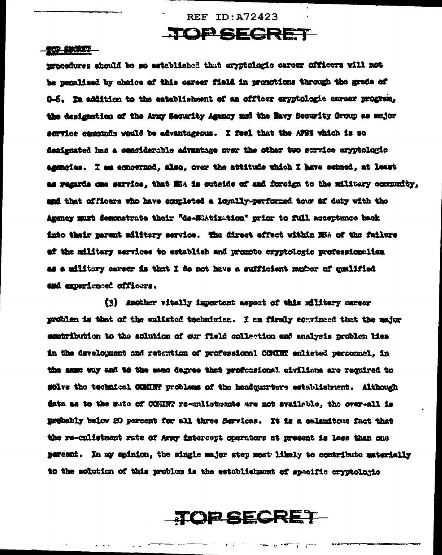### TOP SECRET

#### **THE SECRET**

procedures should be so established that cryptologic career officers will not be penalized by choice of this career field in promotions through the grade of 0-6. In addition to the establishment of an officer exyptologic career program, the designation of the Army Security Agency and the Navy Security Oroup as major acryice communic would be advantageous. I feel that the AFBS which is so designated has a considerable advantage over the other two scrvice oryptologic agencies. I am concerned, also, over the attitude which I have sensed, at least as regards one service, that Mis is outside of and foreign to the military community, and that officers who have completed a loyally-performed tour af duty with the Agency must demonstrate thair "de-NiAtization" prior to full acceptance back into their parent military service. The direct effect within NSA of the failure af the military services to establish and promote cryptologic professionalism as a military career is that I do not have a sufficient mumber of qualified and experienced officers.

(3) Another vitally important aspect of this military career problem is that of the enlisted technician. I am firmly convinced that the major egatribution to the solution of our field collection and analysis problem lies in the development and retention of professional COMMT enlisted personnel, in the same way and to the same degree that profectional civilians are required to solve the technical COMINT problems of the headquarters establishment. Although data as to the sate of CONNR re-enlistments are not synileble, the over-all is motobly below 20 percent for all three Services. It is a calendtous fact that the re-culistment rate of Army intercept operators at present is less than one percent. In my opinion, the single major step most likely to contribute materially to the solution of this problem is the establishment of specific cryptologic

TOP SECRET

 $\frac{1}{\sqrt{2}}\left(1-\frac{1}{\sqrt{2}}\right)^{\frac{1}{2}}\left(\frac{1}{\sqrt{2}}\right)^{\frac{1}{2}}\left(\frac{1}{\sqrt{2}}\right)^{\frac{1}{2}}\left(\frac{1}{\sqrt{2}}\right)^{\frac{1}{2}}\left(\frac{1}{\sqrt{2}}\right)^{\frac{1}{2}}\left(\frac{1}{\sqrt{2}}\right)^{\frac{1}{2}}\left(\frac{1}{\sqrt{2}}\right)^{\frac{1}{2}}\left(\frac{1}{\sqrt{2}}\right)^{\frac{1}{2}}\left(\frac{1}{\sqrt{2}}\right)^{\frac{1}{2}}\left(\frac{1}{\sqrt{$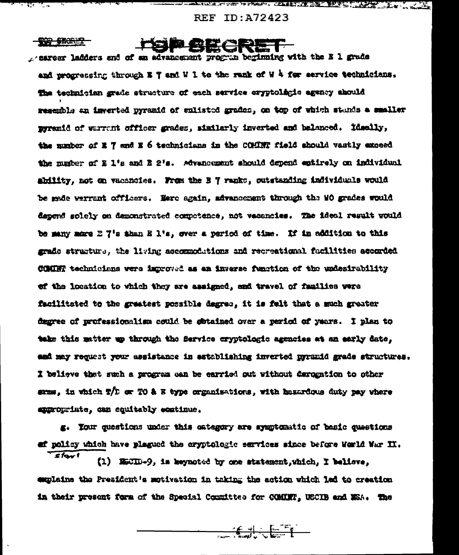<u>Heila obrazo</u>

<del>- 2007-0300027</del>

ा हर्नुहो

"\_\_

sexteer ladders and of an advancement program beginning with the E 1 grade and progressing through  $x \in y$  and W 1 to the rank of W 4 for service technicians. The technician grade structure of each service cryptolicie agency abould resemble an inverted pyramid of sulisted grades, on top of which stands a smaller pyremid of warrant officer grades, similarly inverted and belanced. Ideally, the number of E 7 and E 6 technicians in the COMMT field should vastly exceed the number of E l's and E 2's. Advancement should depend entirely on individual ability, not on vacancies. From the B 7 ranks, outstanding individuals would be made werrant officers. Here again, advancement through the WO grades would dapend solely on demonstrated competence, not vacancies. The ideal result would be many more E 7's than E 1's, over a period of time. If in addition to this grade structure, the living accommodations and recreational facilities accorded COMMY technicians were improved as an inverse function of the undesirability of the location to which they are assigned, and travel of families were facilitated to the greatest possible degree, it is felt that a much greater degree of professionalism could be sotained over a period of years. I plan to take this matter up through the Service cryptologic agencies at an early date, ami may request your assistance in astablishing inverted pyramid grade structures. I believe that such a program can be earried out without derogation to other samme, in which T/D or TO & R type organizations, with hazardous duty pay where appropriate, can equitably continue,

g. Your questions under this category are symptomatic of basic questions of policy which have plagued the cryptologic services since before Werld War II.

 $S_{\text{fav}}$ (1) ESCID-9, is keynoted by one statement, which, I believe, emplains the President's motivation in trking the action which lad to creation in their present form of the Special Committee for COMMIT, USCIB and MSA. The

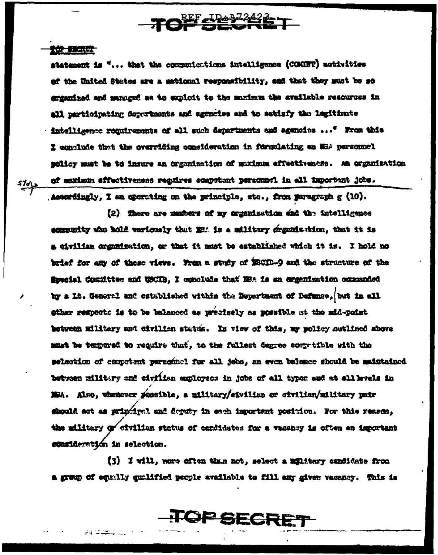## TOP SECRET

#### **TOP BROWN**

i Te\

statement is "... that the communications intelligence (COMINT) activities af the United States are a mational responsibility, and that they must be so empanized and managed as to exploit to the muximum the available resources in all participating depurtments and agencies and to satisfy the legitimate · intelligence reguirements of all such departments and agencies ... " From this I conclude that the overriding consideration in formulating an NSA personnel policy must be to insure an organization of maximum effectiveness. An organization of maximum affectiveness regulres competent personnel in all important jobs. Ascerdingly, I am operating on the principle, etc., from paragraph g (10).

(2) There are mashers of my organization and the intelligence examently who hold variously that MEA is a military dramination, that it is a civilian organization, or that it must be established which it is. I hold no brief for any of these views. From a study of ESCID-9 and the structure of the Special Committee and USCIB, I conclude that NBA is an exgenization occuranced by a Lt. General and established within the Department of Defance, but in all ether respects is to be balanced as precisely as possible at the mid-point between military and civilian status. In view of this, my policy sutlined above must be tempored to require that, to the fullest degree computible with the selection of competent pursonnel for all jobs, an even balance should be maintained between military and eivilian employees in jobs of all typer and at all kvals in MBA. Also, whenever possible, a military/eivilian or civilian/military pair should act as principal and deputy in each important position. For this reason, the military of sivilian status of candidates for a vasancy is often an important egnsideration in selection.

(3) I will, more eften than not, select a military candidate from a group of equally qualified people available to fill any given vecancy. This is

### **OPSECR**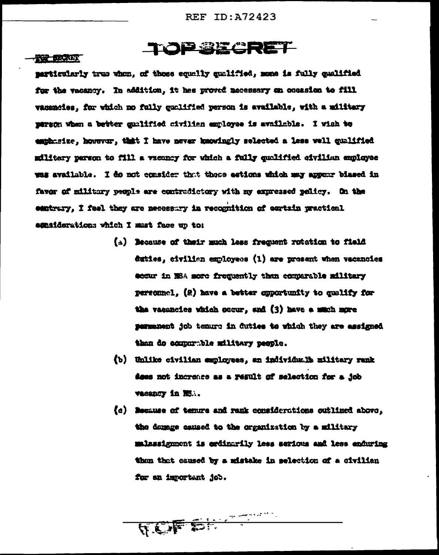### TOP BECRET

#### **TOP BRACK**

marticularly true when, of those counliy qualified, mone is fully qualified for the vacancy. In addition, it has proved mecessary on coorsion to fill vacemeies, for which no fully qualified person is evailable, with a military person when a better qualified civilian employee is available. I wish to emphasize, however, that I have never knowingly selected a less well qualified military parson to fill a vacancy for which a fully quolified civilian employee was available. I do not consider that these estions which may appear biased in favor of military people are contradictory with my expressed policy. On the contrary. I feel they are necessary in recognition of eartsin practical esmaiderations which I must face up to:

- (A) Because of their much less frequent rotation to field duties, civilien employees (1) are present when vacancies eccur in MSA sore frequently then econorable military personnel. (2) have a better opportunity to qualify for the vacancies which occur. end (3) have a much more permanent job tenuro in duties to which they are assigned than do comparable military people.
- (b) Unlike civilian employees, an individual's military rank does not incremes as a result of selection for a job vacancy in NS.
- (c) Decause of temure and rank considerations outlined above, the damage caused to the organization by a military malassignment is erdinarily less serious and less enduring than that caused by a mistake in selection of a civilian for an important job.

TCF CHANNEL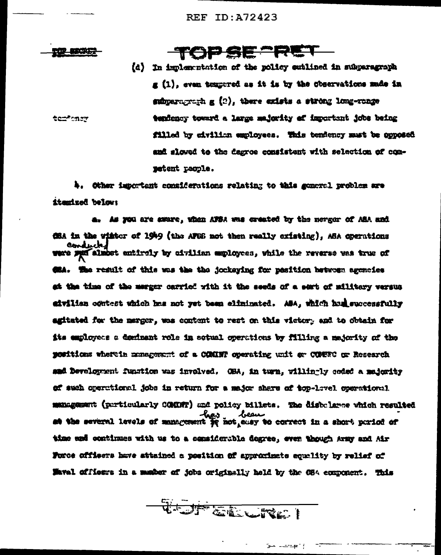- 新成本文学

terroner

TOP SE PET

(d) In implementation of the policy eutlined in subparagraph  $g(1)$ , even tempered as it is by the observations made in subparagraph  $g(z)$ , there exists a strong long-range tendency toward a large majority of important jobs being filled by civilian employees. This tendency must be opposed and slowed to the degree consistent with selection of competent pacple.

4. Other important considerations relating to this general problem are itmmized below:

a. As you are smare, when AFSA was created by the merger of ASA and **CSA in the wister of 1949 (the AFES not then really existing), ASA operations** conducter almost entirely by civilian employees, while the reverse was true of **CHA. The result of this was the the jockeying for pasition between agencies** at the time of the merger carried with it the seeds of a sert of military versus aivilian contest which has not yet been aliminated. ASA, which had successfully agitated for the merger, was content to rest on this victory and to obtain for its employees a deminant role in setual operations by filling a majority of the positions wherein management of a COMINT operating unit or COMERC or Research aad Development function was involved. OHA, in turn, willin-ly coded a melority of such operational jobs in return for a major share of top-lavel operational management (perticularly COMMT) and policy billets. The disbelarce which resulted - heart beautiful levels of management for not a serve the a short portod of time and continues with us to a considerable degree, even though Army and Air Force officers have attained a position of approximate equality by relief of Maval officers in a mather of jobs originally held by the C84 component. This

W-JF EINLITED !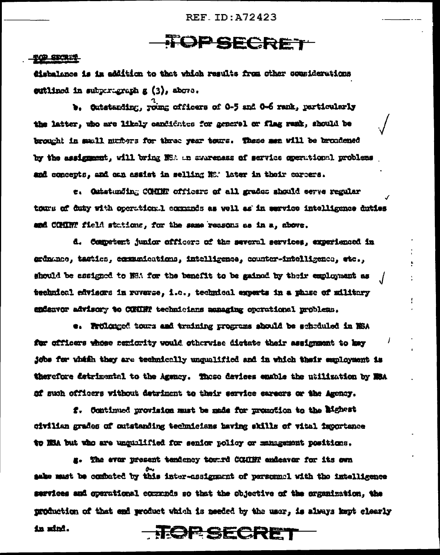### **TOPSECRET**

#### <u>TOP STORES</u>

disbalance is in addition to that which results from other cousiderations extlined in subperigraph g (3), above.

b. Cutstanding, roung officers of 0-5 and 0-6 rank, particularly the latter, who are likely candidates for general or flag rank, should be brought in small numbers for three year tours. These men will be broadened by the assignment, will bring NSA an avareness of service operational problems and concepts, and one assist in selling NS. later in their corpers.

e. Oxtatunding COMMN officers of all grades should serve regular tours of duty with operation. I commands as well as in service intelligence duties and COMINT field stations, for the same reasons as in a, above.

d. Competent junior officers of the several services, experienced in erdnamos, tactics, communications, intelligence, counter-intelligence, etc., should be assigned to NHA for the benefit to be gained by their employment as technical edvisors in reverse, i.c., technical experts in a phase of military endenvor advisory to CONDR technicians annaging operational problems.

e. Prolonged tours and training programs should be schräuled in NSA for officers whose seriority would otherwise distate their assignment to key jøbs før whish they are technically unqualified and in which their exployment is therefore detrimental to the Agency. These devices enable the utilization by MSA of such officers without detriment to their service sareers or the Ameney.

f. Continued provision must be made for promotion to the Mighast civilian grades of outstanding technicians having skills of vital importance to WEA but who are unqualified for senior policy or management positions.

g. The ever present tendency tomrd CGHINT andeaver for its own sake must be combated by this inter-assignment of personnel with the intelligence services and operational communds so that the objective of the organization, the production of that end product which is needed by the user, is always kept clearly in mind. **TROP SECRET**